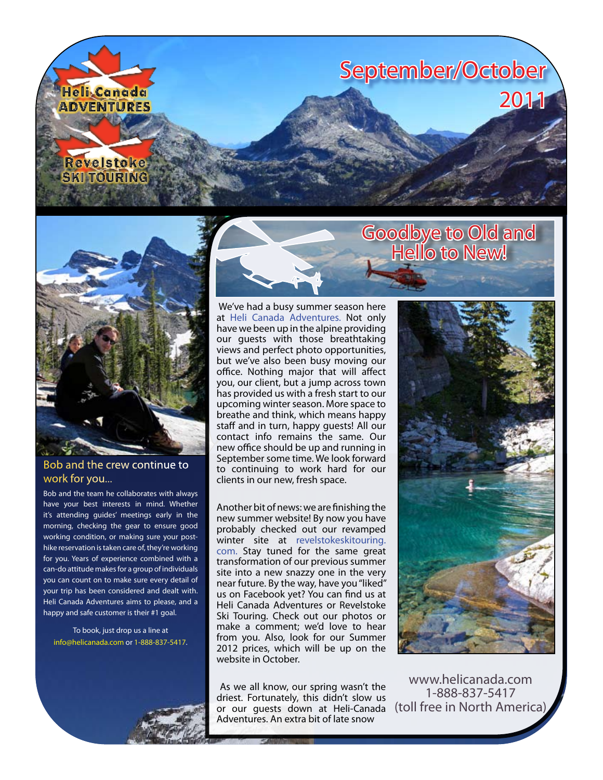



## Bob and the crew continue to work for you...

Bob and the team he collaborates with always have your best interests in mind. Whether it's attending guides' meetings early in the morning, checking the gear to ensure good working condition, or making sure your posthike reservation is taken care of, they're working for you. Years of experience combined with a can-do attitude makes for a group of individuals you can count on to make sure every detail of your trip has been considered and dealt with. Heli Canada Adventures aims to please, and a happy and safe customer is their #1 goal.

To book, just drop us a line at [info@helicanada.com](mailto:info@helicanada.com) or 1-888-837-5417.



 We've had a busy summer season here at [Heli Canada Adventures.](http://www.helicanada.com/) Not only have we been up in the alpine providing our guests with those breathtaking views and perfect photo opportunities, but we've also been busy moving our office. Nothing major that will affect you, our client, but a jump across town has provided us with a fresh start to our upcoming winter season. More space to breathe and think, which means happy staff and in turn, happy guests! All our contact info remains the same. Our new office should be up and running in September some time. We look forward to continuing to work hard for our clients in our new, fresh space.

Another bit of news: we are finishing the new summer website! By now you have probably checked out our revamped winter site at [revelstokeskitouring.](http://www.revelstokeskitouring.com) [com.](http://www.revelstokeskitouring.com) Stay tuned for the same great transformation of our previous summer site into a new snazzy one in the very near future. By the way, have you "liked" us on Facebook yet? You can find us at Heli Canada Adventures or Revelstoke Ski Touring. Check out our photos or make a comment; we'd love to hear from you. Also, look for our Summer 2012 prices, which will be up on the website in October.

 As we all know, our spring wasn't the driest. Fortunately, this didn't slow us or our guests down at Heli-Canada Adventures. An extra bit of late snow



[www.helicanada.com](http://www.helicanada.com) 1-888-837-5417 (toll free in North America)